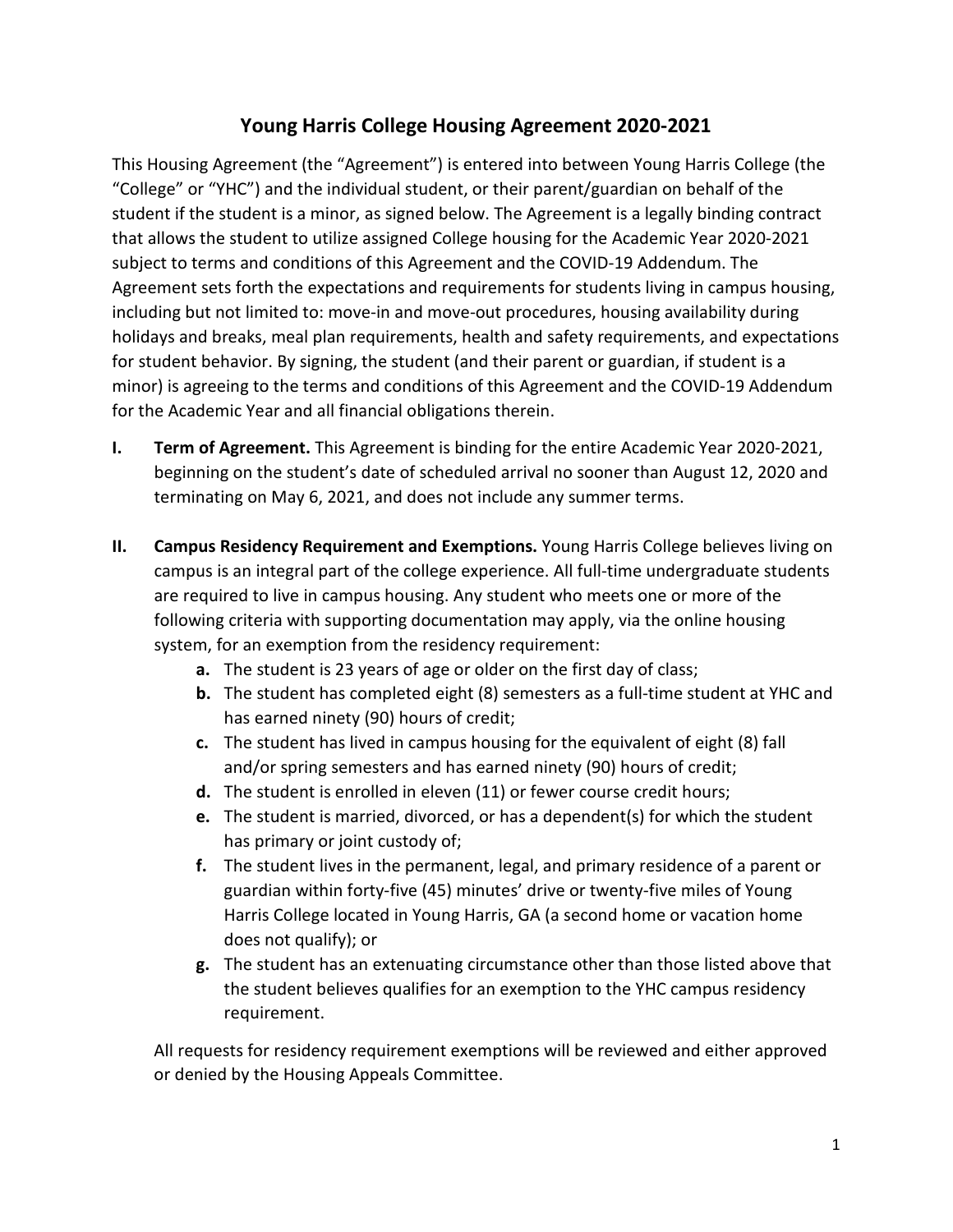## **Young Harris College Housing Agreement 2020-2021**

This Housing Agreement (the "Agreement") is entered into between Young Harris College (the "College" or "YHC") and the individual student, or their parent/guardian on behalf of the student if the student is a minor, as signed below. The Agreement is a legally binding contract that allows the student to utilize assigned College housing for the Academic Year 2020-2021 subject to terms and conditions of this Agreement and the COVID-19 Addendum. The Agreement sets forth the expectations and requirements for students living in campus housing, including but not limited to: move-in and move-out procedures, housing availability during holidays and breaks, meal plan requirements, health and safety requirements, and expectations for student behavior. By signing, the student (and their parent or guardian, if student is a minor) is agreeing to the terms and conditions of this Agreement and the COVID-19 Addendum for the Academic Year and all financial obligations therein.

- **I. Term of Agreement.** This Agreement is binding for the entire Academic Year 2020-2021, beginning on the student's date of scheduled arrival no sooner than August 12, 2020 and terminating on May 6, 2021, and does not include any summer terms.
- **II. Campus Residency Requirement and Exemptions.** Young Harris College believes living on campus is an integral part of the college experience. All full-time undergraduate students are required to live in campus housing. Any student who meets one or more of the following criteria with supporting documentation may apply, via the online housing system, for an exemption from the residency requirement:
	- **a.** The student is 23 years of age or older on the first day of class;
	- **b.** The student has completed eight (8) semesters as a full-time student at YHC and has earned ninety (90) hours of credit;
	- **c.** The student has lived in campus housing for the equivalent of eight (8) fall and/or spring semesters and has earned ninety (90) hours of credit;
	- **d.** The student is enrolled in eleven (11) or fewer course credit hours;
	- **e.** The student is married, divorced, or has a dependent(s) for which the student has primary or joint custody of;
	- **f.** The student lives in the permanent, legal, and primary residence of a parent or guardian within forty-five (45) minutes' drive or twenty-five miles of Young Harris College located in Young Harris, GA (a second home or vacation home does not qualify); or
	- **g.** The student has an extenuating circumstance other than those listed above that the student believes qualifies for an exemption to the YHC campus residency requirement.

All requests for residency requirement exemptions will be reviewed and either approved or denied by the Housing Appeals Committee.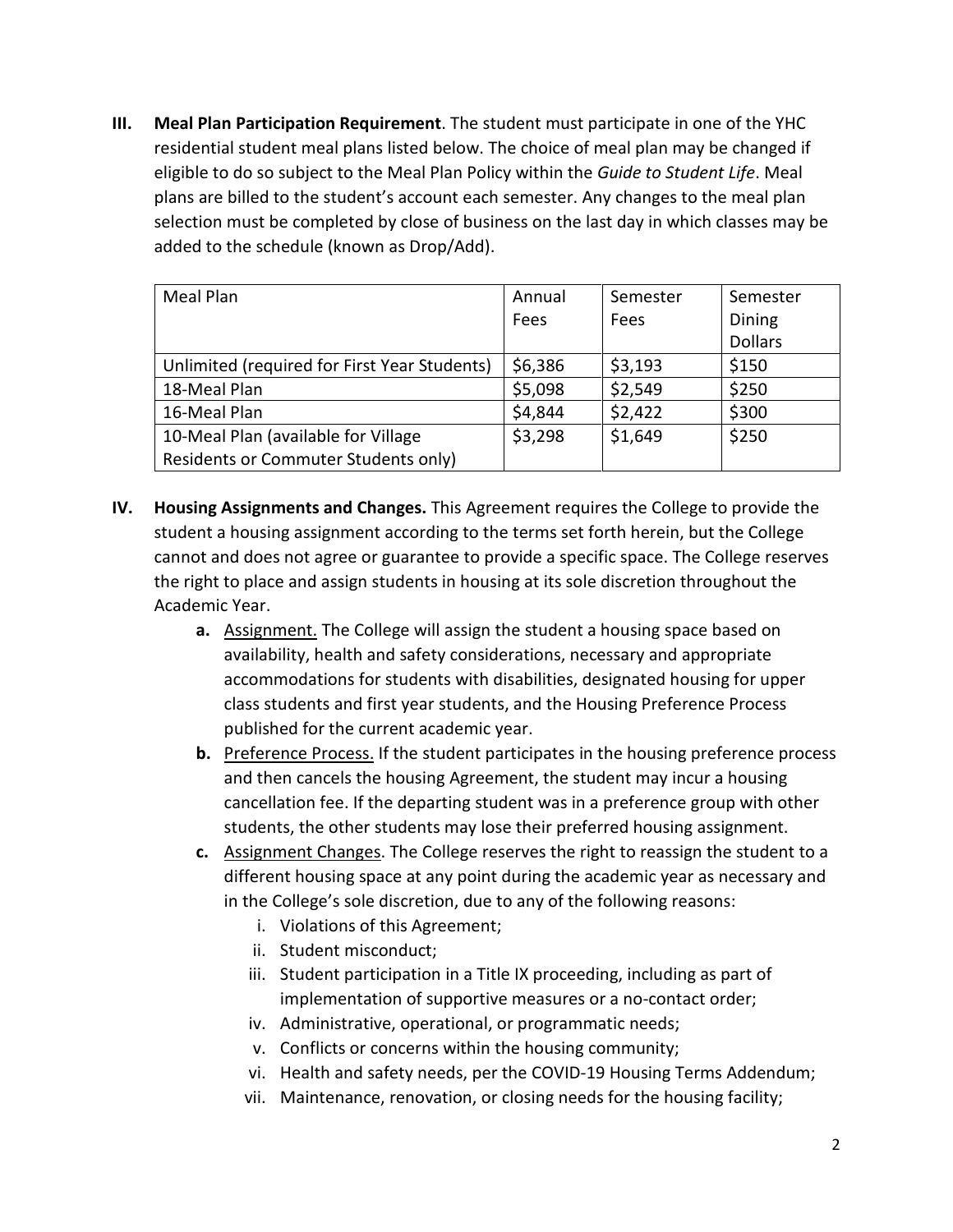**III. Meal Plan Participation Requirement**. The student must participate in one of the YHC residential student meal plans listed below. The choice of meal plan may be changed if eligible to do so subject to the Meal Plan Policy within the *Guide to Student Life*. Meal plans are billed to the student's account each semester. Any changes to the meal plan selection must be completed by close of business on the last day in which classes may be added to the schedule (known as Drop/Add).

| Meal Plan                                    | Annual  | Semester | Semester       |
|----------------------------------------------|---------|----------|----------------|
|                                              | Fees    | Fees     | Dining         |
|                                              |         |          | <b>Dollars</b> |
| Unlimited (required for First Year Students) | \$6,386 | \$3,193  | \$150          |
| 18-Meal Plan                                 | \$5,098 | \$2,549  | \$250          |
| 16-Meal Plan                                 | \$4,844 | \$2,422  | \$300          |
| 10-Meal Plan (available for Village          | \$3,298 | \$1,649  | \$250          |
| Residents or Commuter Students only)         |         |          |                |

- **IV. Housing Assignments and Changes.** This Agreement requires the College to provide the student a housing assignment according to the terms set forth herein, but the College cannot and does not agree or guarantee to provide a specific space. The College reserves the right to place and assign students in housing at its sole discretion throughout the Academic Year.
	- **a.** Assignment. The College will assign the student a housing space based on availability, health and safety considerations, necessary and appropriate accommodations for students with disabilities, designated housing for upper class students and first year students, and the Housing Preference Process published for the current academic year.
	- **b.** Preference Process. If the student participates in the housing preference process and then cancels the housing Agreement, the student may incur a housing cancellation fee. If the departing student was in a preference group with other students, the other students may lose their preferred housing assignment.
	- **c.** Assignment Changes. The College reserves the right to reassign the student to a different housing space at any point during the academic year as necessary and in the College's sole discretion, due to any of the following reasons:
		- i. Violations of this Agreement;
		- ii. Student misconduct;
		- iii. Student participation in a Title IX proceeding, including as part of implementation of supportive measures or a no-contact order;
		- iv. Administrative, operational, or programmatic needs;
		- v. Conflicts or concerns within the housing community;
		- vi. Health and safety needs, per the COVID-19 Housing Terms Addendum;
		- vii. Maintenance, renovation, or closing needs for the housing facility;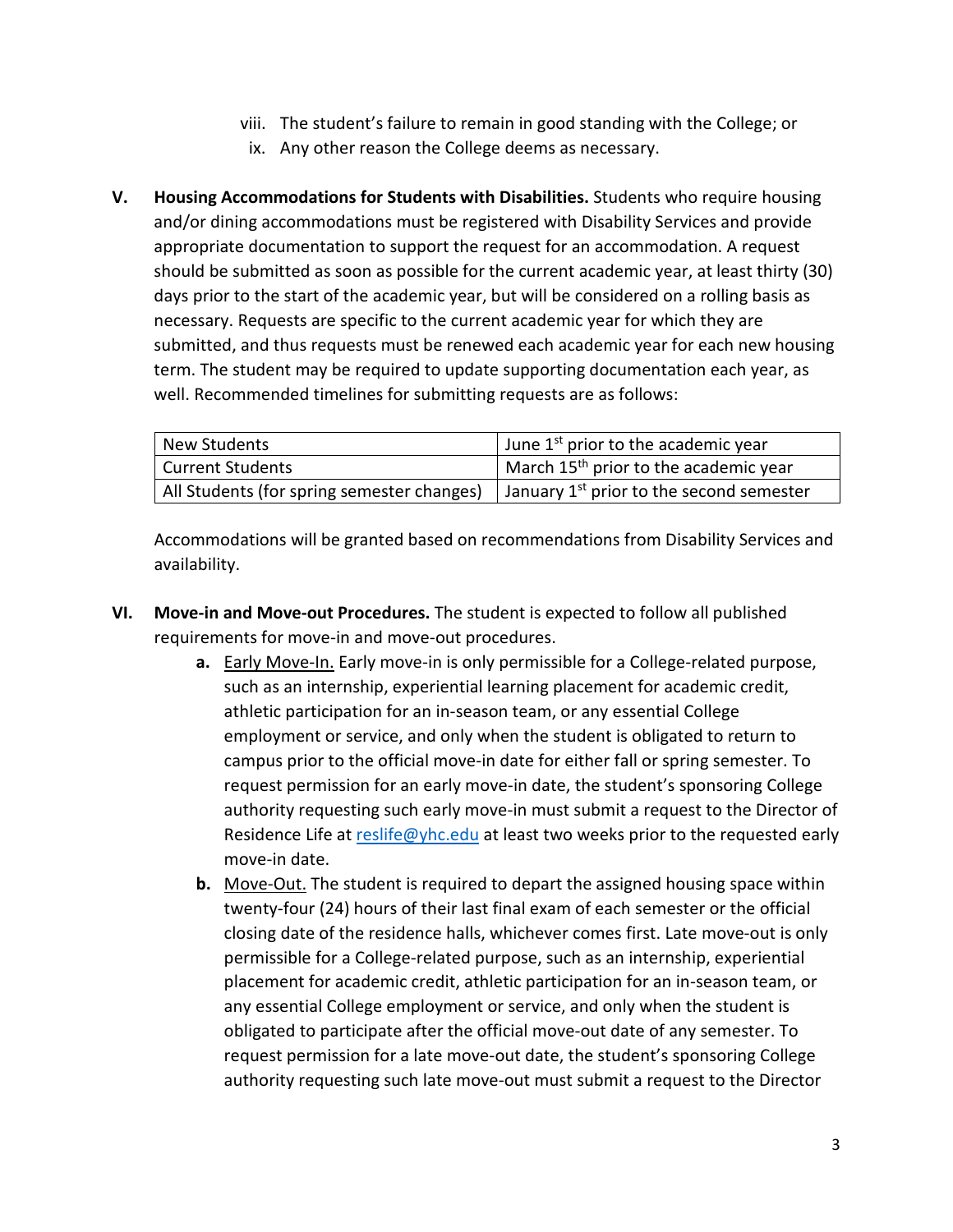- viii. The student's failure to remain in good standing with the College; or
- ix. Any other reason the College deems as necessary.
- **V. Housing Accommodations for Students with Disabilities.** Students who require housing and/or dining accommodations must be registered with Disability Services and provide appropriate documentation to support the request for an accommodation. A request should be submitted as soon as possible for the current academic year, at least thirty (30) days prior to the start of the academic year, but will be considered on a rolling basis as necessary. Requests are specific to the current academic year for which they are submitted, and thus requests must be renewed each academic year for each new housing term. The student may be required to update supporting documentation each year, as well. Recommended timelines for submitting requests are as follows:

| New Students                               | June 1 <sup>st</sup> prior to the academic year        |
|--------------------------------------------|--------------------------------------------------------|
| <b>Current Students</b>                    | March 15 <sup>th</sup> prior to the academic year      |
| All Students (for spring semester changes) | I January 1 <sup>st</sup> prior to the second semester |

Accommodations will be granted based on recommendations from Disability Services and availability.

- **VI. Move-in and Move-out Procedures.** The student is expected to follow all published requirements for move-in and move-out procedures.
	- **a.** Early Move-In. Early move-in is only permissible for a College-related purpose, such as an internship, experiential learning placement for academic credit, athletic participation for an in-season team, or any essential College employment or service, and only when the student is obligated to return to campus prior to the official move-in date for either fall or spring semester. To request permission for an early move-in date, the student's sponsoring College authority requesting such early move-in must submit a request to the Director of Residence Life at [reslife@yhc.edu](mailto:reslife@yhc.edu) at least two weeks prior to the requested early move-in date.
	- **b.** Move-Out. The student is required to depart the assigned housing space within twenty-four (24) hours of their last final exam of each semester or the official closing date of the residence halls, whichever comes first. Late move-out is only permissible for a College-related purpose, such as an internship, experiential placement for academic credit, athletic participation for an in-season team, or any essential College employment or service, and only when the student is obligated to participate after the official move-out date of any semester. To request permission for a late move-out date, the student's sponsoring College authority requesting such late move-out must submit a request to the Director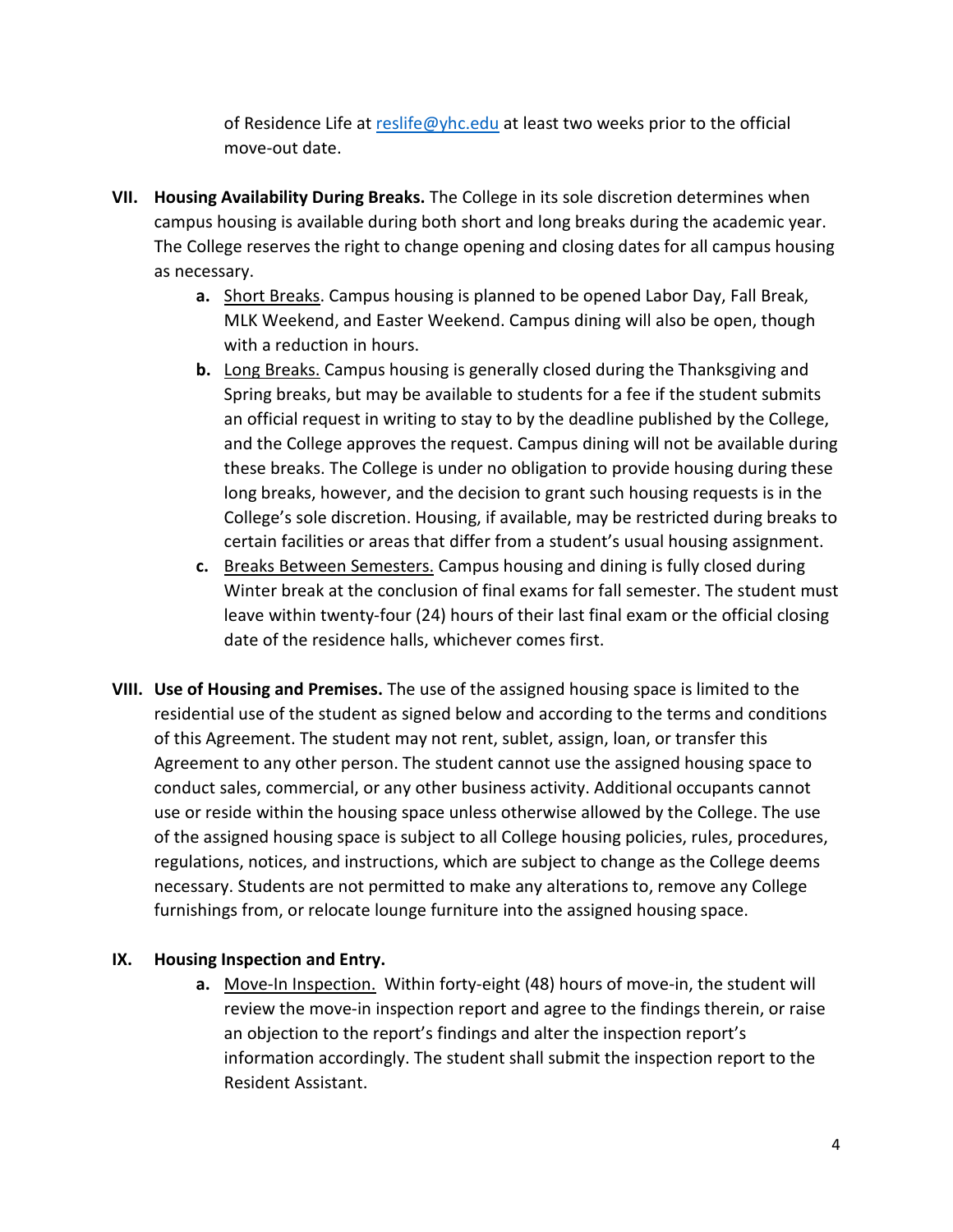of Residence Life at [reslife@yhc.edu](mailto:reslife@yhc.edu) at least two weeks prior to the official move-out date.

- **VII. Housing Availability During Breaks.** The College in its sole discretion determines when campus housing is available during both short and long breaks during the academic year. The College reserves the right to change opening and closing dates for all campus housing as necessary.
	- **a.** Short Breaks. Campus housing is planned to be opened Labor Day, Fall Break, MLK Weekend, and Easter Weekend. Campus dining will also be open, though with a reduction in hours.
	- **b.** Long Breaks. Campus housing is generally closed during the Thanksgiving and Spring breaks, but may be available to students for a fee if the student submits an official request in writing to stay to by the deadline published by the College, and the College approves the request. Campus dining will not be available during these breaks. The College is under no obligation to provide housing during these long breaks, however, and the decision to grant such housing requests is in the College's sole discretion. Housing, if available, may be restricted during breaks to certain facilities or areas that differ from a student's usual housing assignment.
	- **c.** Breaks Between Semesters. Campus housing and dining is fully closed during Winter break at the conclusion of final exams for fall semester. The student must leave within twenty-four (24) hours of their last final exam or the official closing date of the residence halls, whichever comes first.
- **VIII. Use of Housing and Premises.** The use of the assigned housing space is limited to the residential use of the student as signed below and according to the terms and conditions of this Agreement. The student may not rent, sublet, assign, loan, or transfer this Agreement to any other person. The student cannot use the assigned housing space to conduct sales, commercial, or any other business activity. Additional occupants cannot use or reside within the housing space unless otherwise allowed by the College. The use of the assigned housing space is subject to all College housing policies, rules, procedures, regulations, notices, and instructions, which are subject to change as the College deems necessary. Students are not permitted to make any alterations to, remove any College furnishings from, or relocate lounge furniture into the assigned housing space.

## **IX. Housing Inspection and Entry.**

**a.** Move-In Inspection. Within forty-eight (48) hours of move-in, the student will review the move-in inspection report and agree to the findings therein, or raise an objection to the report's findings and alter the inspection report's information accordingly. The student shall submit the inspection report to the Resident Assistant.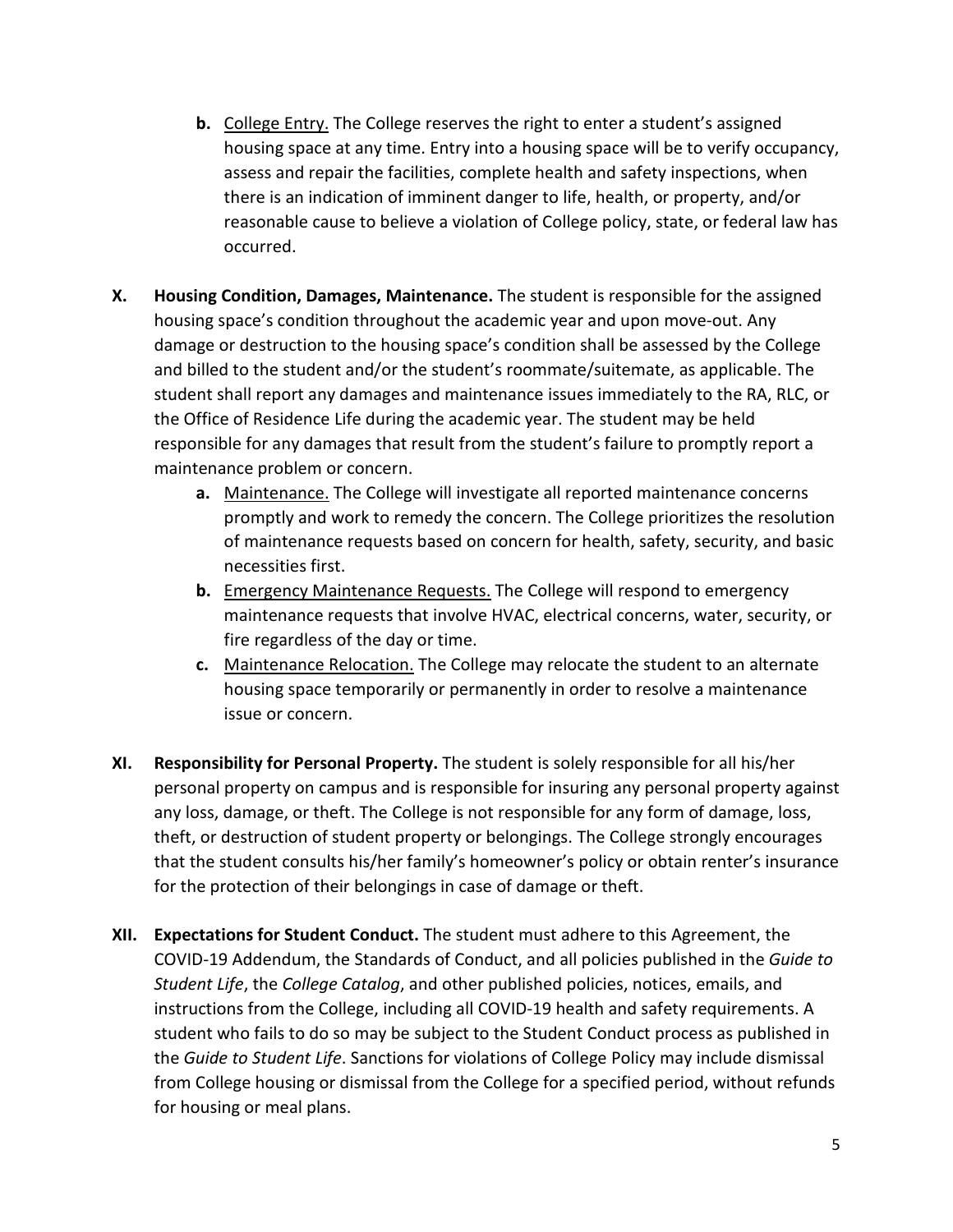- **b.** College Entry. The College reserves the right to enter a student's assigned housing space at any time. Entry into a housing space will be to verify occupancy, assess and repair the facilities, complete health and safety inspections, when there is an indication of imminent danger to life, health, or property, and/or reasonable cause to believe a violation of College policy, state, or federal law has occurred.
- **X. Housing Condition, Damages, Maintenance.** The student is responsible for the assigned housing space's condition throughout the academic year and upon move-out. Any damage or destruction to the housing space's condition shall be assessed by the College and billed to the student and/or the student's roommate/suitemate, as applicable. The student shall report any damages and maintenance issues immediately to the RA, RLC, or the Office of Residence Life during the academic year. The student may be held responsible for any damages that result from the student's failure to promptly report a maintenance problem or concern.
	- **a.** Maintenance. The College will investigate all reported maintenance concerns promptly and work to remedy the concern. The College prioritizes the resolution of maintenance requests based on concern for health, safety, security, and basic necessities first.
	- **b.** Emergency Maintenance Requests. The College will respond to emergency maintenance requests that involve HVAC, electrical concerns, water, security, or fire regardless of the day or time.
	- **c.** Maintenance Relocation. The College may relocate the student to an alternate housing space temporarily or permanently in order to resolve a maintenance issue or concern.
- **XI. Responsibility for Personal Property.** The student is solely responsible for all his/her personal property on campus and is responsible for insuring any personal property against any loss, damage, or theft. The College is not responsible for any form of damage, loss, theft, or destruction of student property or belongings. The College strongly encourages that the student consults his/her family's homeowner's policy or obtain renter's insurance for the protection of their belongings in case of damage or theft.
- **XII. Expectations for Student Conduct.** The student must adhere to this Agreement, the COVID-19 Addendum, the Standards of Conduct, and all policies published in the *Guide to Student Life*, the *College Catalog*, and other published policies, notices, emails, and instructions from the College, including all COVID-19 health and safety requirements. A student who fails to do so may be subject to the Student Conduct process as published in the *Guide to Student Life*. Sanctions for violations of College Policy may include dismissal from College housing or dismissal from the College for a specified period, without refunds for housing or meal plans.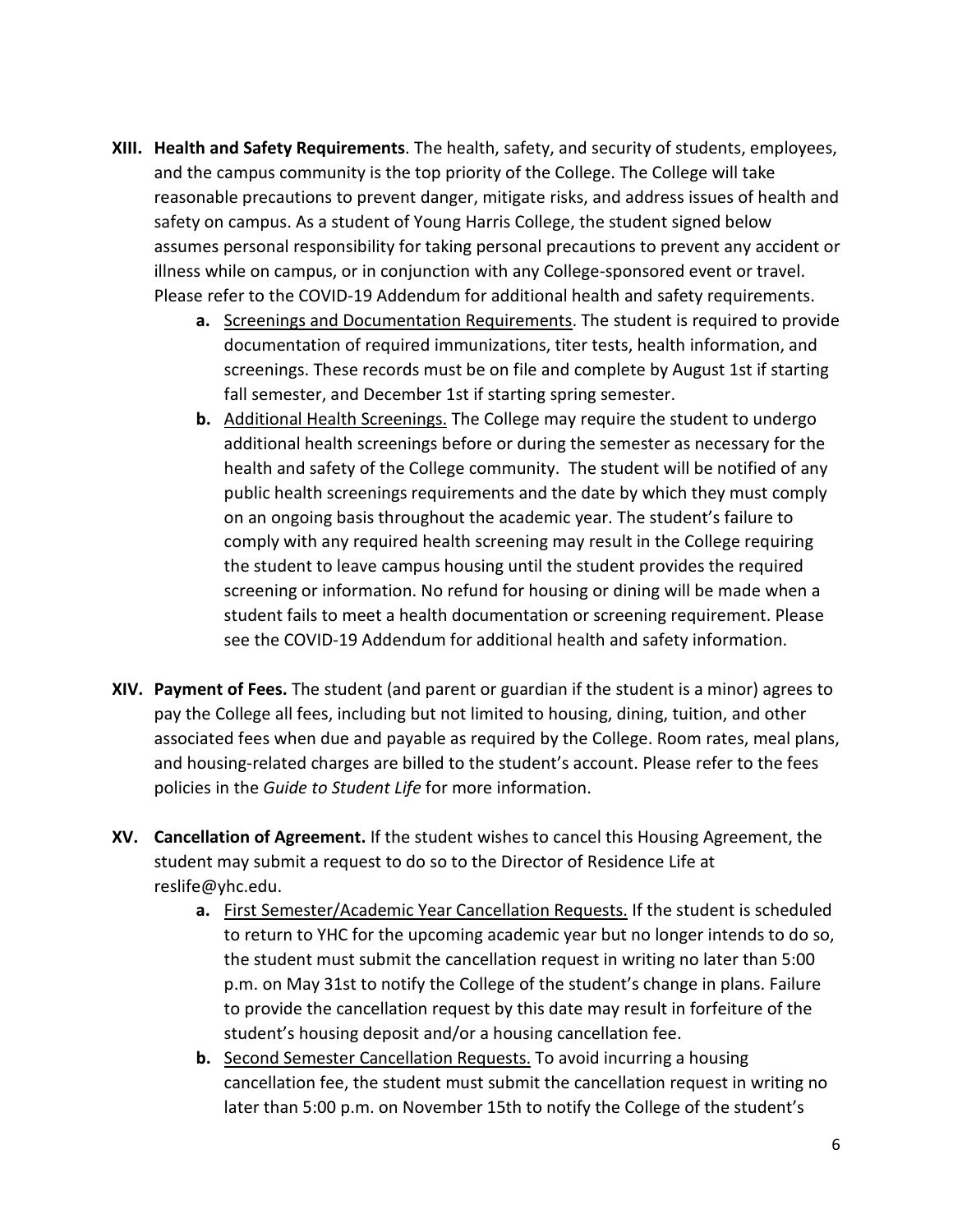- **XIII. Health and Safety Requirements**. The health, safety, and security of students, employees, and the campus community is the top priority of the College. The College will take reasonable precautions to prevent danger, mitigate risks, and address issues of health and safety on campus. As a student of Young Harris College, the student signed below assumes personal responsibility for taking personal precautions to prevent any accident or illness while on campus, or in conjunction with any College-sponsored event or travel. Please refer to the COVID-19 Addendum for additional health and safety requirements.
	- **a.** Screenings and Documentation Requirements. The student is required to provide documentation of required immunizations, titer tests, health information, and screenings. These records must be on file and complete by August 1st if starting fall semester, and December 1st if starting spring semester.
	- **b.** Additional Health Screenings. The College may require the student to undergo additional health screenings before or during the semester as necessary for the health and safety of the College community. The student will be notified of any public health screenings requirements and the date by which they must comply on an ongoing basis throughout the academic year. The student's failure to comply with any required health screening may result in the College requiring the student to leave campus housing until the student provides the required screening or information. No refund for housing or dining will be made when a student fails to meet a health documentation or screening requirement. Please see the COVID-19 Addendum for additional health and safety information.
- **XIV. Payment of Fees.** The student (and parent or guardian if the student is a minor) agrees to pay the College all fees, including but not limited to housing, dining, tuition, and other associated fees when due and payable as required by the College. Room rates, meal plans, and housing-related charges are billed to the student's account. Please refer to the fees policies in the *Guide to Student Life* for more information.
- **XV. Cancellation of Agreement.** If the student wishes to cancel this Housing Agreement, the student may submit a request to do so to the Director of Residence Life at reslife@yhc.edu.
	- **a.** First Semester/Academic Year Cancellation Requests. If the student is scheduled to return to YHC for the upcoming academic year but no longer intends to do so, the student must submit the cancellation request in writing no later than 5:00 p.m. on May 31st to notify the College of the student's change in plans. Failure to provide the cancellation request by this date may result in forfeiture of the student's housing deposit and/or a housing cancellation fee.
	- **b.** Second Semester Cancellation Requests. To avoid incurring a housing cancellation fee, the student must submit the cancellation request in writing no later than 5:00 p.m. on November 15th to notify the College of the student's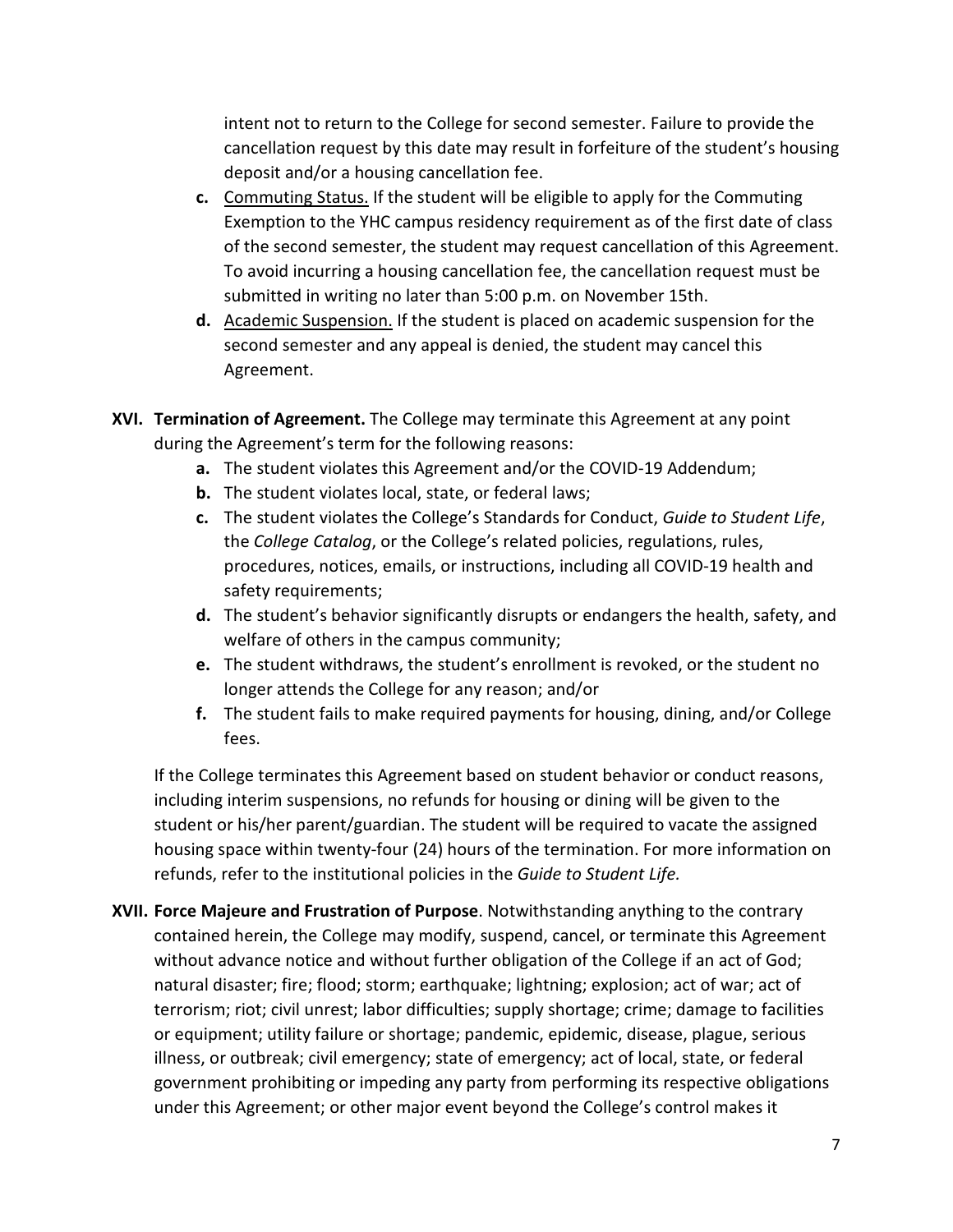intent not to return to the College for second semester. Failure to provide the cancellation request by this date may result in forfeiture of the student's housing deposit and/or a housing cancellation fee.

- **c.** Commuting Status. If the student will be eligible to apply for the Commuting Exemption to the YHC campus residency requirement as of the first date of class of the second semester, the student may request cancellation of this Agreement. To avoid incurring a housing cancellation fee, the cancellation request must be submitted in writing no later than 5:00 p.m. on November 15th.
- **d.** Academic Suspension. If the student is placed on academic suspension for the second semester and any appeal is denied, the student may cancel this Agreement.
- **XVI. Termination of Agreement.** The College may terminate this Agreement at any point during the Agreement's term for the following reasons:
	- **a.** The student violates this Agreement and/or the COVID-19 Addendum;
	- **b.** The student violates local, state, or federal laws;
	- **c.** The student violates the College's Standards for Conduct, *Guide to Student Life*, the *College Catalog*, or the College's related policies, regulations, rules, procedures, notices, emails, or instructions, including all COVID-19 health and safety requirements;
	- **d.** The student's behavior significantly disrupts or endangers the health, safety, and welfare of others in the campus community;
	- **e.** The student withdraws, the student's enrollment is revoked, or the student no longer attends the College for any reason; and/or
	- **f.** The student fails to make required payments for housing, dining, and/or College fees.

If the College terminates this Agreement based on student behavior or conduct reasons, including interim suspensions, no refunds for housing or dining will be given to the student or his/her parent/guardian. The student will be required to vacate the assigned housing space within twenty-four (24) hours of the termination. For more information on refunds, refer to the institutional policies in the *Guide to Student Life.*

**XVII. Force Majeure and Frustration of Purpose**. Notwithstanding anything to the contrary contained herein, the College may modify, suspend, cancel, or terminate this Agreement without advance notice and without further obligation of the College if an act of God; natural disaster; fire; flood; storm; earthquake; lightning; explosion; act of war; act of terrorism; riot; civil unrest; labor difficulties; supply shortage; crime; damage to facilities or equipment; utility failure or shortage; pandemic, epidemic, disease, plague, serious illness, or outbreak; civil emergency; state of emergency; act of local, state, or federal government prohibiting or impeding any party from performing its respective obligations under this Agreement; or other major event beyond the College's control makes it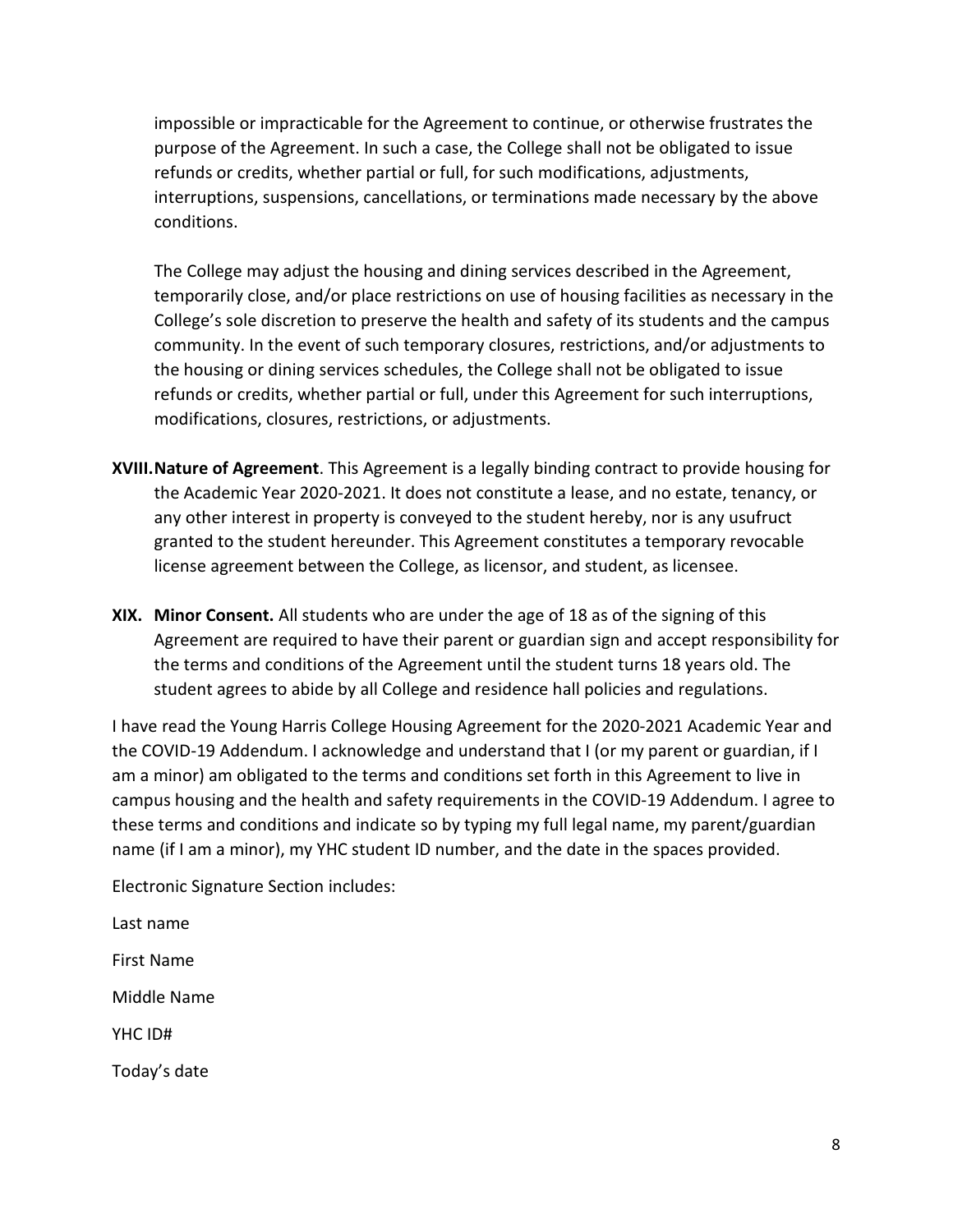impossible or impracticable for the Agreement to continue, or otherwise frustrates the purpose of the Agreement. In such a case, the College shall not be obligated to issue refunds or credits, whether partial or full, for such modifications, adjustments, interruptions, suspensions, cancellations, or terminations made necessary by the above conditions.

The College may adjust the housing and dining services described in the Agreement, temporarily close, and/or place restrictions on use of housing facilities as necessary in the College's sole discretion to preserve the health and safety of its students and the campus community. In the event of such temporary closures, restrictions, and/or adjustments to the housing or dining services schedules, the College shall not be obligated to issue refunds or credits, whether partial or full, under this Agreement for such interruptions, modifications, closures, restrictions, or adjustments.

- **XVIII.Nature of Agreement**. This Agreement is a legally binding contract to provide housing for the Academic Year 2020-2021. It does not constitute a lease, and no estate, tenancy, or any other interest in property is conveyed to the student hereby, nor is any usufruct granted to the student hereunder. This Agreement constitutes a temporary revocable license agreement between the College, as licensor, and student, as licensee.
- **XIX. Minor Consent.** All students who are under the age of 18 as of the signing of this Agreement are required to have their parent or guardian sign and accept responsibility for the terms and conditions of the Agreement until the student turns 18 years old. The student agrees to abide by all College and residence hall policies and regulations.

I have read the Young Harris College Housing Agreement for the 2020-2021 Academic Year and the COVID-19 Addendum. I acknowledge and understand that I (or my parent or guardian, if I am a minor) am obligated to the terms and conditions set forth in this Agreement to live in campus housing and the health and safety requirements in the COVID-19 Addendum. I agree to these terms and conditions and indicate so by typing my full legal name, my parent/guardian name (if I am a minor), my YHC student ID number, and the date in the spaces provided.

Electronic Signature Section includes:

Last name First Name Middle Name YHC ID# Today's date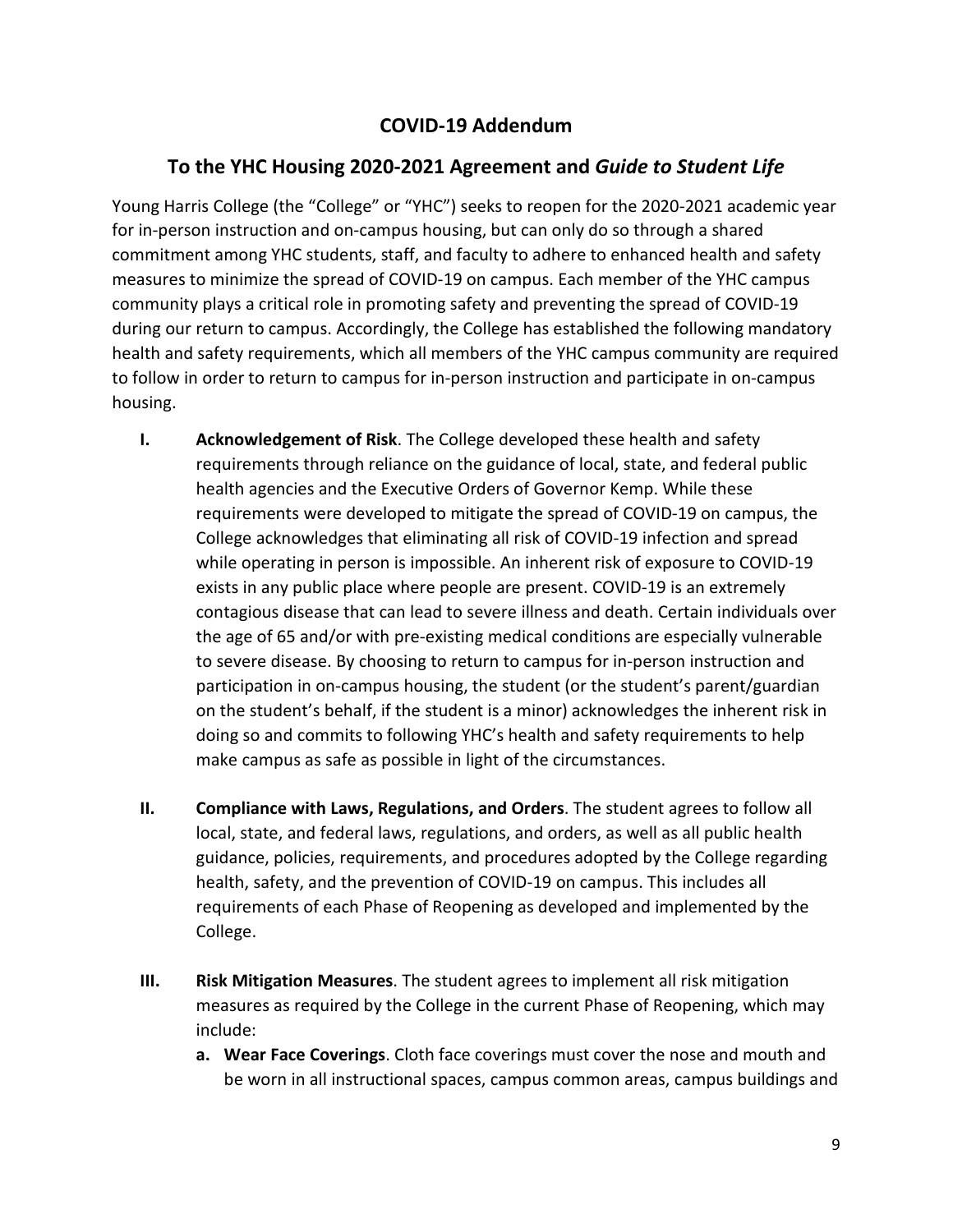## **COVID-19 Addendum**

## **To the YHC Housing 2020-2021 Agreement and** *Guide to Student Life*

Young Harris College (the "College" or "YHC") seeks to reopen for the 2020-2021 academic year for in-person instruction and on-campus housing, but can only do so through a shared commitment among YHC students, staff, and faculty to adhere to enhanced health and safety measures to minimize the spread of COVID-19 on campus. Each member of the YHC campus community plays a critical role in promoting safety and preventing the spread of COVID-19 during our return to campus. Accordingly, the College has established the following mandatory health and safety requirements, which all members of the YHC campus community are required to follow in order to return to campus for in-person instruction and participate in on-campus housing.

- **I. Acknowledgement of Risk**. The College developed these health and safety requirements through reliance on the guidance of local, state, and federal public health agencies and the Executive Orders of Governor Kemp. While these requirements were developed to mitigate the spread of COVID-19 on campus, the College acknowledges that eliminating all risk of COVID-19 infection and spread while operating in person is impossible. An inherent risk of exposure to COVID-19 exists in any public place where people are present. COVID-19 is an extremely contagious disease that can lead to severe illness and death. Certain individuals over the age of 65 and/or with pre-existing medical conditions are especially vulnerable to severe disease. By choosing to return to campus for in-person instruction and participation in on-campus housing, the student (or the student's parent/guardian on the student's behalf, if the student is a minor) acknowledges the inherent risk in doing so and commits to following YHC's health and safety requirements to help make campus as safe as possible in light of the circumstances.
- **II. Compliance with Laws, Regulations, and Orders**. The student agrees to follow all local, state, and federal laws, regulations, and orders, as well as all public health guidance, policies, requirements, and procedures adopted by the College regarding health, safety, and the prevention of COVID-19 on campus. This includes all requirements of each Phase of Reopening as developed and implemented by the College.
- **III. Risk Mitigation Measures**. The student agrees to implement all risk mitigation measures as required by the College in the current Phase of Reopening, which may include:
	- **a. Wear Face Coverings**. Cloth face coverings must cover the nose and mouth and be worn in all instructional spaces, campus common areas, campus buildings and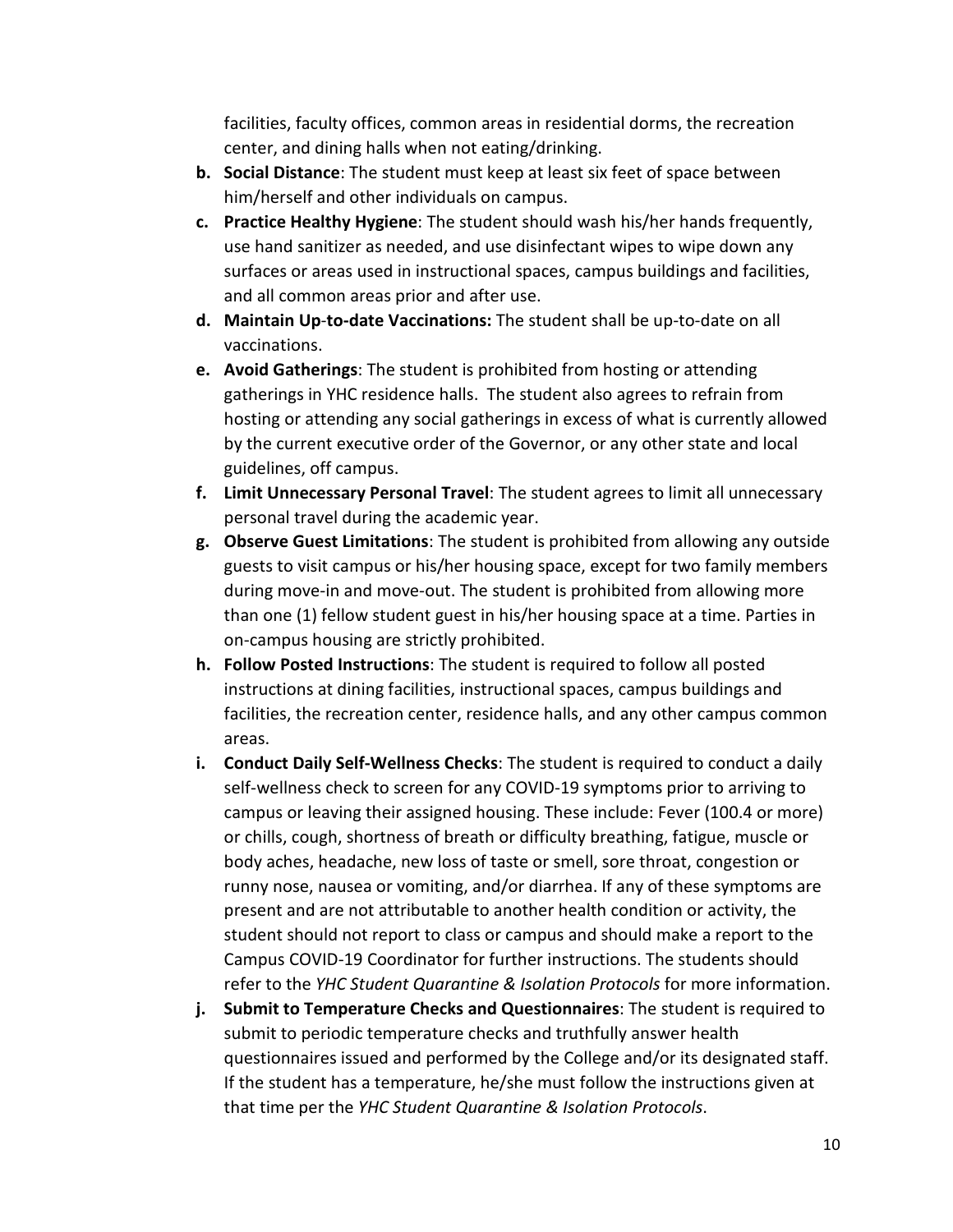facilities, faculty offices, common areas in residential dorms, the recreation center, and dining halls when not eating/drinking.

- **b. Social Distance**: The student must keep at least six feet of space between him/herself and other individuals on campus.
- **c. Practice Healthy Hygiene**: The student should wash his/her hands frequently, use hand sanitizer as needed, and use disinfectant wipes to wipe down any surfaces or areas used in instructional spaces, campus buildings and facilities, and all common areas prior and after use.
- **d. Maintain Up**-**to-date Vaccinations:** The student shall be up-to-date on all vaccinations.
- **e. Avoid Gatherings**: The student is prohibited from hosting or attending gatherings in YHC residence halls. The student also agrees to refrain from hosting or attending any social gatherings in excess of what is currently allowed by the current executive order of the Governor, or any other state and local guidelines, off campus.
- **f. Limit Unnecessary Personal Travel**: The student agrees to limit all unnecessary personal travel during the academic year.
- **g. Observe Guest Limitations**: The student is prohibited from allowing any outside guests to visit campus or his/her housing space, except for two family members during move-in and move-out. The student is prohibited from allowing more than one (1) fellow student guest in his/her housing space at a time. Parties in on-campus housing are strictly prohibited.
- **h. Follow Posted Instructions**: The student is required to follow all posted instructions at dining facilities, instructional spaces, campus buildings and facilities, the recreation center, residence halls, and any other campus common areas.
- **i. Conduct Daily Self-Wellness Checks**: The student is required to conduct a daily self-wellness check to screen for any COVID-19 symptoms prior to arriving to campus or leaving their assigned housing. These include: Fever (100.4 or more) or chills, cough, shortness of breath or difficulty breathing, fatigue, muscle or body aches, headache, new loss of taste or smell, sore throat, congestion or runny nose, nausea or vomiting, and/or diarrhea. If any of these symptoms are present and are not attributable to another health condition or activity, the student should not report to class or campus and should make a report to the Campus COVID-19 Coordinator for further instructions. The students should refer to the *YHC Student Quarantine & Isolation Protocols* for more information.
- **j. Submit to Temperature Checks and Questionnaires**: The student is required to submit to periodic temperature checks and truthfully answer health questionnaires issued and performed by the College and/or its designated staff. If the student has a temperature, he/she must follow the instructions given at that time per the *YHC Student Quarantine & Isolation Protocols*.